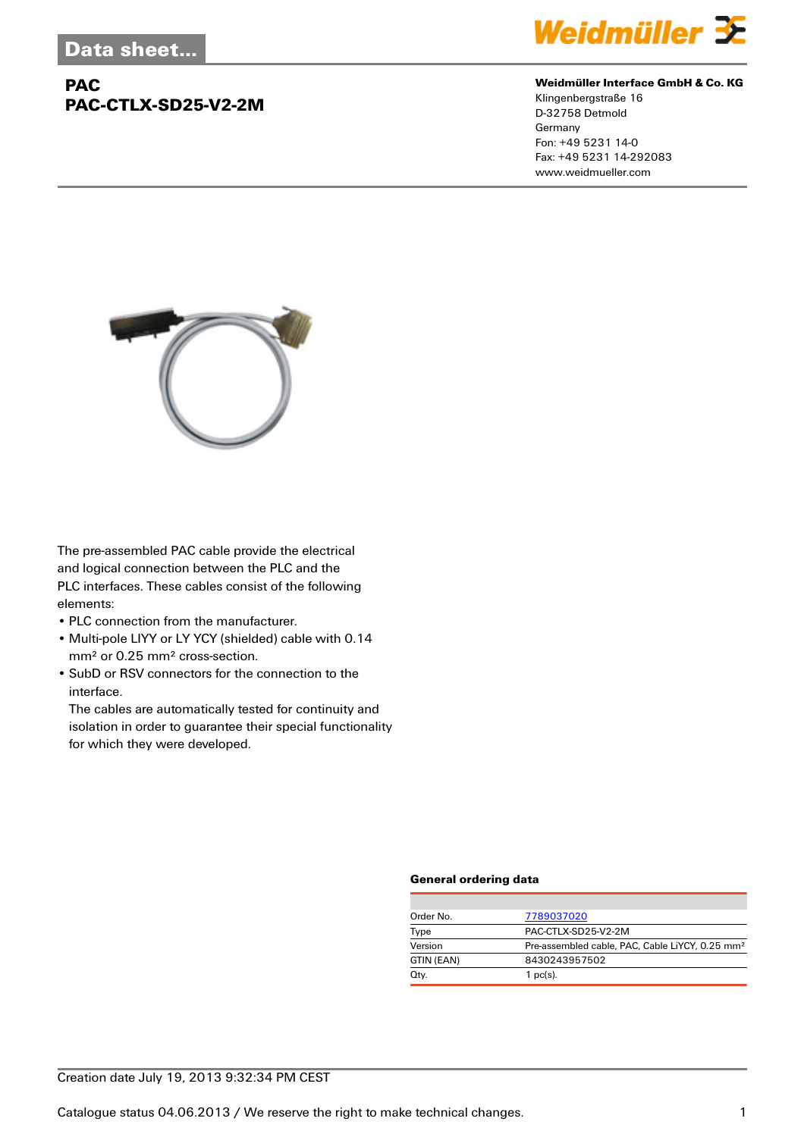## **PAC PAC-CTLX-SD25-V2-2M**



#### **Weidmüller Interface GmbH & Co. KG**

Klingenbergstraße 16 D-32758 Detmold Germany Fon: +49 5231 14-0 Fax: +49 5231 14-292083 www.weidmueller.com



The pre-assembled PAC cable provide the electrical and logical connection between the PLC and the PLC interfaces. These cables consist of the following elements:

- PLC connection from the manufacturer.
- Multi-pole LIYY or LY YCY (shielded) cable with 0.14 mm² or 0.25 mm² cross-section.
- SubD or RSV connectors for the connection to the interface.

The cables are automatically tested for continuity and isolation in order to guarantee their special functionality for which they were developed.

#### **General ordering data**

| Order No.  | 7789037020                                                  |  |  |
|------------|-------------------------------------------------------------|--|--|
| Type       | PAC-CTLX-SD25-V2-2M                                         |  |  |
| Version    | Pre-assembled cable, PAC, Cable LiYCY, 0.25 mm <sup>2</sup> |  |  |
| GTIN (EAN) | 8430243957502                                               |  |  |
| Qty.       | 1 $pc(s)$ .                                                 |  |  |